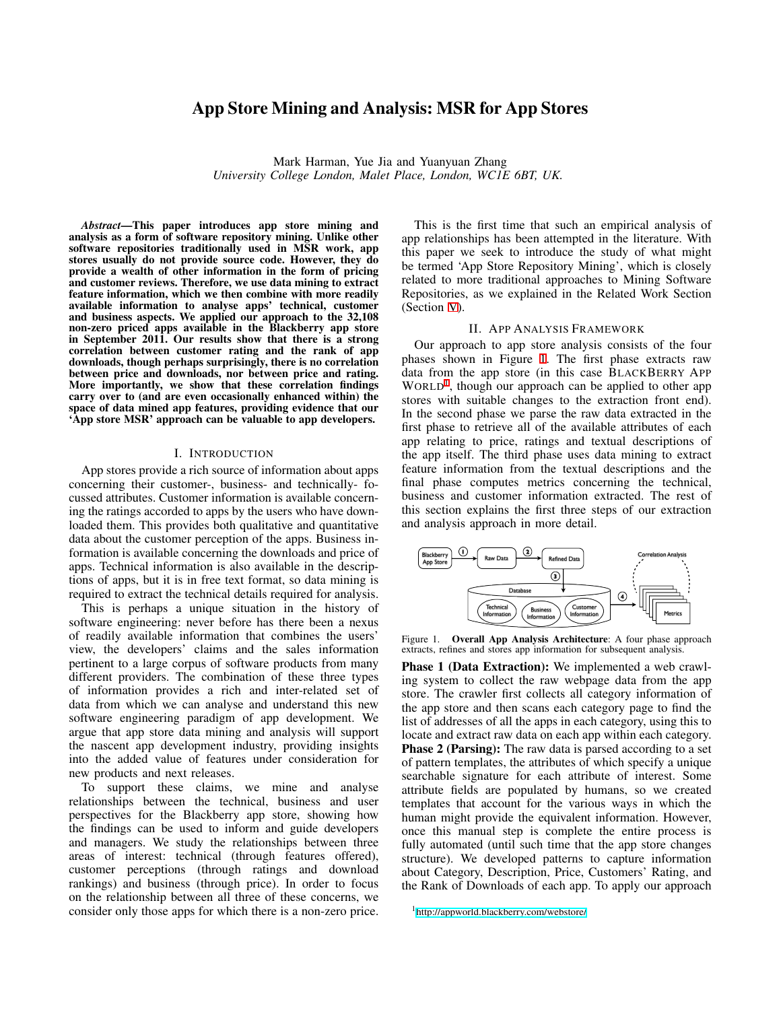# App Store Mining and Analysis: MSR for App Stores

Mark Harman, Yue Jia and Yuanyuan Zhang *University College London, Malet Place, London, WC1E 6BT, UK.*

*Abstract*—This paper introduces app store mining and analysis as a form of software repository mining. Unlike other software repositories traditionally used in MSR work, app stores usually do not provide source code. However, they do provide a wealth of other information in the form of pricing and customer reviews. Therefore, we use data mining to extract feature information, which we then combine with more readily available information to analyse apps' technical, customer and business aspects. We applied our approach to the 32,108 non-zero priced apps available in the Blackberry app store in September 2011. Our results show that there is a strong correlation between customer rating and the rank of app downloads, though perhaps surprisingly, there is no correlation between price and downloads, nor between price and rating. More importantly, we show that these correlation findings carry over to (and are even occasionally enhanced within) the space of data mined app features, providing evidence that our 'App store MSR' approach can be valuable to app developers.

#### I. INTRODUCTION

App stores provide a rich source of information about apps concerning their customer-, business- and technically- focussed attributes. Customer information is available concerning the ratings accorded to apps by the users who have downloaded them. This provides both qualitative and quantitative data about the customer perception of the apps. Business information is available concerning the downloads and price of apps. Technical information is also available in the descriptions of apps, but it is in free text format, so data mining is required to extract the technical details required for analysis.

This is perhaps a unique situation in the history of software engineering: never before has there been a nexus of readily available information that combines the users' view, the developers' claims and the sales information pertinent to a large corpus of software products from many different providers. The combination of these three types of information provides a rich and inter-related set of data from which we can analyse and understand this new software engineering paradigm of app development. We argue that app store data mining and analysis will support the nascent app development industry, providing insights into the added value of features under consideration for new products and next releases.

To support these claims, we mine and analyse relationships between the technical, business and user perspectives for the Blackberry app store, showing how the findings can be used to inform and guide developers and managers. We study the relationships between three areas of interest: technical (through features offered), customer perceptions (through ratings and download rankings) and business (through price). In order to focus on the relationship between all three of these concerns, we consider only those apps for which there is a non-zero price.

This is the first time that such an empirical analysis of app relationships has been attempted in the literature. With this paper we seek to introduce the study of what might be termed 'App Store Repository Mining', which is closely related to more traditional approaches to Mining Software Repositories, as we explained in the Related Work Section (Section [V\)](#page-2-0).

#### II. APP ANALYSIS FRAMEWORK

Our approach to app store analysis consists of the four phases shown in Figure [1](#page-0-0). The first phase extracts raw data from the app store (in this case BLACKBERRY APP WORLD<sup>[1](#page-0-1)</sup>, though our approach can be applied to other app stores with suitable changes to the extraction front end). In the second phase we parse the raw data extracted in the first phase to retrieve all of the available attributes of each app relating to price, ratings and textual descriptions of the app itself. The third phase uses data mining to extract feature information from the textual descriptions and the final phase computes metrics concerning the technical, business and customer information extracted. The rest of this section explains the first three steps of our extraction and analysis approach in more detail.



<span id="page-0-0"></span>Figure 1. Overall App Analysis Architecture: A four phase approach extracts, refines and stores app information for subsequent analysis.

Phase 1 (Data Extraction): We implemented a web crawling system to collect the raw webpage data from the app store. The crawler first collects all category information of the app store and then scans each category page to find the list of addresses of all the apps in each category, using this to locate and extract raw data on each app within each category. Phase 2 (Parsing): The raw data is parsed according to a set of pattern templates, the attributes of which specify a unique searchable signature for each attribute of interest. Some attribute fields are populated by humans, so we created templates that account for the various ways in which the human might provide the equivalent information. However, once this manual step is complete the entire process is fully automated (until such time that the app store changes structure). We developed patterns to capture information about Category, Description, Price, Customers' Rating, and the Rank of Downloads of each app. To apply our approach

<span id="page-0-1"></span><sup>1</sup><http://appworld.blackberry.com/webstore/>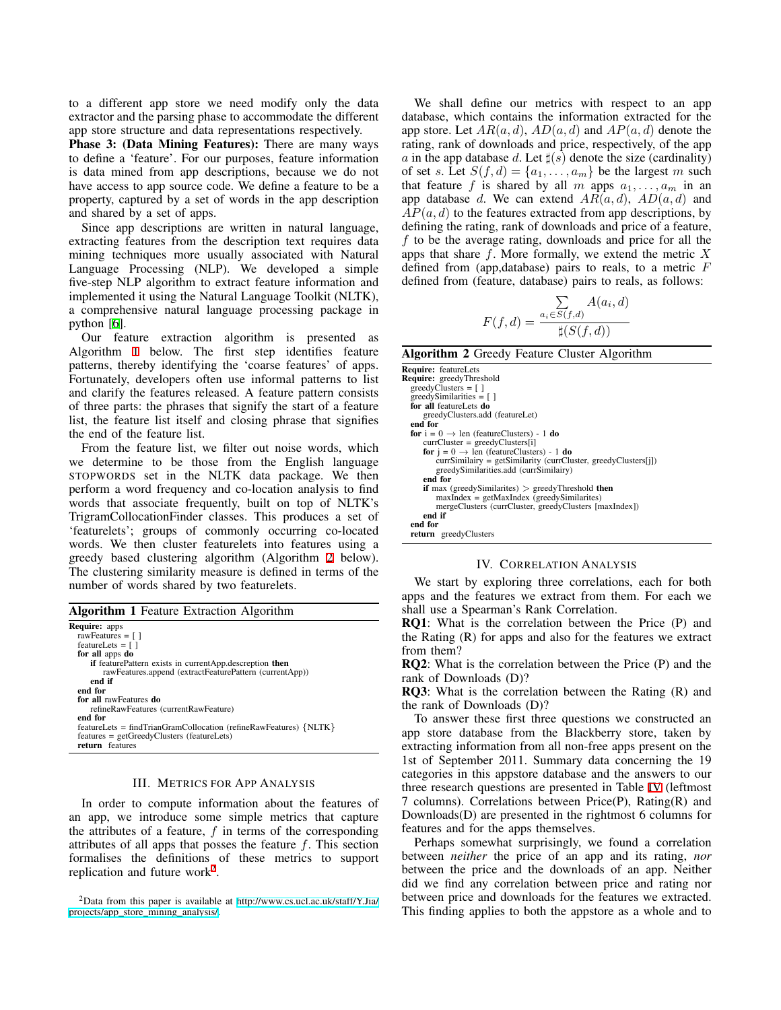to a different app store we need modify only the data extractor and the parsing phase to accommodate the different app store structure and data representations respectively.

Phase 3: (Data Mining Features): There are many ways to define a 'feature'. For our purposes, feature information is data mined from app descriptions, because we do not have access to app source code. We define a feature to be a property, captured by a set of words in the app description and shared by a set of apps.

Since app descriptions are written in natural language, extracting features from the description text requires data mining techniques more usually associated with Natural Language Processing (NLP). We developed a simple five-step NLP algorithm to extract feature information and implemented it using the Natural Language Toolkit (NLTK), a comprehensive natural language processing package in python [\[6](#page-3-0)].

Our feature extraction algorithm is presented as Algorithm [1](#page-1-0) below. The first step identifies feature patterns, thereby identifying the 'coarse features' of apps. Fortunately, developers often use informal patterns to list and clarify the features released. A feature pattern consists of three parts: the phrases that signify the start of a feature list, the feature list itself and closing phrase that signifies the end of the feature list.

From the feature list, we filter out noise words, which we determine to be those from the English language STOPWORDS set in the NLTK data package. We then perform a word frequency and co-location analysis to find words that associate frequently, built on top of NLTK's TrigramCollocationFinder classes. This produces a set of 'featurelets'; groups of commonly occurring co-located words. We then cluster featurelets into features using a greedy based clustering algorithm (Algorithm [2](#page-1-1) below). The clustering similarity measure is defined in terms of the number of words shared by two featurelets.

<span id="page-1-0"></span>

| Algorithm 1 Feature Extraction Algorithm |  |  |  |  |
|------------------------------------------|--|--|--|--|
|------------------------------------------|--|--|--|--|

| <b>Require: apps</b>                                                                                                                    |
|-----------------------------------------------------------------------------------------------------------------------------------------|
| rawFeatures $= \lceil \rceil$                                                                                                           |
| featureLets $= \lceil \cdot \rceil$                                                                                                     |
| for all apps do                                                                                                                         |
| <b>if</b> featurePattern exists in currentApp.descreption then                                                                          |
| rawFeatures.append (extractFeaturePattern (currentApp))                                                                                 |
| end if                                                                                                                                  |
| end for                                                                                                                                 |
| for all rawFeatures do                                                                                                                  |
| refineRawFeatures (currentRawFeature)                                                                                                   |
| end for                                                                                                                                 |
| $features = findTrianGramCollection$ (refineRawFeatures) $\{NLTK\}$<br>$features = getGreedy Clusters (featureLets)$<br>return features |

# III. METRICS FOR APP ANALYSIS

In order to compute information about the features of an app, we introduce some simple metrics that capture the attributes of a feature, *f* in terms of the corresponding attributes of all apps that posses the feature *f*. This section formalises the definitions of these metrics to support replication and future work<sup>[2](#page-1-2)</sup>.

We shall define our metrics with respect to an app database, which contains the information extracted for the app store. Let *AR*(*a, d*), *AD*(*a, d*) and *AP*(*a, d*) denote the rating, rank of downloads and price, respectively, of the app *a* in the app database *d*. Let *♯*(*s*) denote the size (cardinality) of set *s*. Let  $S(f, d) = \{a_1, \ldots, a_m\}$  be the largest *m* such that feature *f* is shared by all *m* apps  $a_1, \ldots, a_m$  in an app database *d*. We can extend *AR*(*a, d*), *AD*(*a, d*) and  $AP(a, d)$  to the features extracted from app descriptions, by defining the rating, rank of downloads and price of a feature, *f* to be the average rating, downloads and price for all the apps that share *f*. More formally, we extend the metric *X* defined from (app,database) pairs to reals, to a metric *F* defined from (feature, database) pairs to reals, as follows:

$$
F(f,d) = \frac{\sum\limits_{a_i \in S(f,d)} A(a_i, d)}{\sharp (S(f,d))}
$$

<span id="page-1-1"></span>Algorithm 2 Greedy Feature Cluster Algorithm Require: featureLets **Require:** greedyThreshold<br>greedyClusters = [ ] greedySimilarities  $= 1$ for all featureLets do greedyClusters.add (featureLet) end for for  $i = 0 \rightarrow$  len (featureClusters) - 1 do currCluster = greedyClusters[i]<br>**for** j = 0 → len (featureClusters) - 1 **do** currSimilairy = getSimilarity (currCluster, greedyClusters[j]) greedySimilarities.add (currSimilairy) end for if max (greedySimilarites) *>* greedyThreshold then maxIndex = getMaxIndex (greedySimilarites) mergeClusters (currCluster, greedyClusters [maxIndex]) end if end for return greedyClusters

## IV. CORRELATION ANALYSIS

<span id="page-1-3"></span>We start by exploring three correlations, each for both apps and the features we extract from them. For each we shall use a Spearman's Rank Correlation.

RQ1: What is the correlation between the Price (P) and the Rating (R) for apps and also for the features we extract from them?

RQ2: What is the correlation between the Price (P) and the rank of Downloads (D)?

RQ3: What is the correlation between the Rating (R) and the rank of Downloads (D)?

To answer these first three questions we constructed an app store database from the Blackberry store, taken by extracting information from all non-free apps present on the 1st of September 2011. Summary data concerning the 19 categories in this appstore database and the answers to our three research questions are presented in Table [IV](#page-1-3) (leftmost 7 columns). Correlations between Price(P), Rating(R) and Downloads(D) are presented in the rightmost 6 columns for features and for the apps themselves.

Perhaps somewhat surprisingly, we found a correlation between *neither* the price of an app and its rating, *nor* between the price and the downloads of an app. Neither did we find any correlation between price and rating nor between price and downloads for the features we extracted. This finding applies to both the appstore as a whole and to

<span id="page-1-2"></span><sup>2</sup>Data from this paper is available at [http://www.cs.ucl.ac.uk/staff/Y.Jia/](http://www.cs.ucl.ac.uk/staff/Y.Jia/projects/app_store_mining_analysis/) [projects/app](http://www.cs.ucl.ac.uk/staff/Y.Jia/projects/app_store_mining_analysis/) store mining analysis/.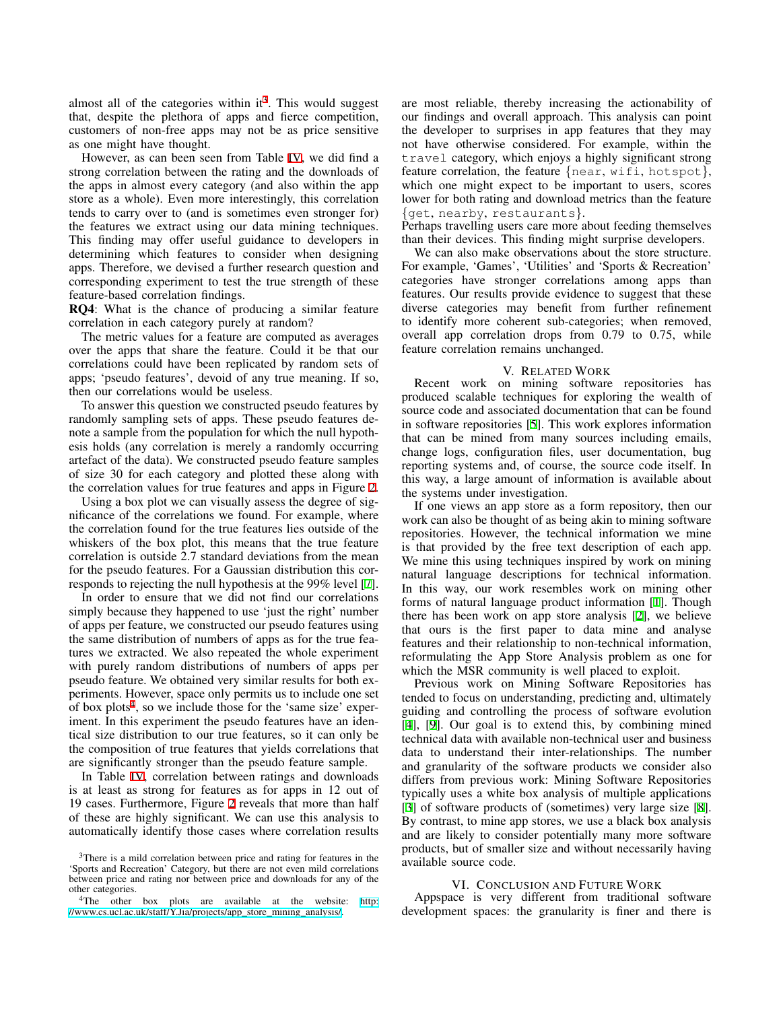almost all of the categories within  $it^3$  $it^3$ . This would suggest that, despite the plethora of apps and fierce competition, customers of non-free apps may not be as price sensitive as one might have thought.

However, as can been seen from Table [IV](#page-1-3), we did find a strong correlation between the rating and the downloads of the apps in almost every category (and also within the app store as a whole). Even more interestingly, this correlation tends to carry over to (and is sometimes even stronger for) the features we extract using our data mining techniques. This finding may offer useful guidance to developers in determining which features to consider when designing apps. Therefore, we devised a further research question and corresponding experiment to test the true strength of these feature-based correlation findings.

RQ4: What is the chance of producing a similar feature correlation in each category purely at random?

The metric values for a feature are computed as averages over the apps that share the feature. Could it be that our correlations could have been replicated by random sets of apps; 'pseudo features', devoid of any true meaning. If so, then our correlations would be useless.

To answer this question we constructed pseudo features by randomly sampling sets of apps. These pseudo features denote a sample from the population for which the null hypothesis holds (any correlation is merely a randomly occurring artefact of the data). We constructed pseudo feature samples of size 30 for each category and plotted these along with the correlation values for true features and apps in Figure [2.](#page-3-1)

Using a box plot we can visually assess the degree of significance of the correlations we found. For example, where the correlation found for the true features lies outside of the whiskers of the box plot, this means that the true feature correlation is outside 2.7 standard deviations from the mean for the pseudo features. For a Gaussian distribution this corresponds to rejecting the null hypothesis at the 99% level [\[7](#page-3-2)].

In order to ensure that we did not find our correlations simply because they happened to use 'just the right' number of apps per feature, we constructed our pseudo features using the same distribution of numbers of apps as for the true features we extracted. We also repeated the whole experiment with purely random distributions of numbers of apps per pseudo feature. We obtained very similar results for both experiments. However, space only permits us to include one set of box plots<sup>[4](#page-2-2)</sup>, so we include those for the 'same size' experiment. In this experiment the pseudo features have an identical size distribution to our true features, so it can only be the composition of true features that yields correlations that are significantly stronger than the pseudo feature sample.

In Table [IV,](#page-1-3) correlation between ratings and downloads is at least as strong for features as for apps in 12 out of 19 cases. Furthermore, Figure [2](#page-3-1) reveals that more than half of these are highly significant. We can use this analysis to automatically identify those cases where correlation results

are most reliable, thereby increasing the actionability of our findings and overall approach. This analysis can point the developer to surprises in app features that they may not have otherwise considered. For example, within the travel category, which enjoys a highly significant strong feature correlation, the feature *{*near, wifi, hotspot*}*, which one might expect to be important to users, scores lower for both rating and download metrics than the feature *{*get, nearby, restaurants*}*.

Perhaps travelling users care more about feeding themselves than their devices. This finding might surprise developers.

We can also make observations about the store structure. For example, 'Games', 'Utilities' and 'Sports & Recreation' categories have stronger correlations among apps than features. Our results provide evidence to suggest that these diverse categories may benefit from further refinement to identify more coherent sub-categories; when removed, overall app correlation drops from 0.79 to 0.75, while feature correlation remains unchanged.

# V. RELATED WORK

<span id="page-2-0"></span>Recent work on mining software repositories has produced scalable techniques for exploring the wealth of source code and associated documentation that can be found in software repositories [\[5](#page-3-3)]. This work explores information that can be mined from many sources including emails, change logs, configuration files, user documentation, bug reporting systems and, of course, the source code itself. In this way, a large amount of information is available about the systems under investigation.

If one views an app store as a form repository, then our work can also be thought of as being akin to mining software repositories. However, the technical information we mine is that provided by the free text description of each app. We mine this using techniques inspired by work on mining natural language descriptions for technical information. In this way, our work resembles work on mining other forms of natural language product information [[1\]](#page-3-4). Though there has been work on app store analysis [\[2](#page-3-5)], we believe that ours is the first paper to data mine and analyse features and their relationship to non-technical information, reformulating the App Store Analysis problem as one for which the MSR community is well placed to exploit.

Previous work on Mining Software Repositories has tended to focus on understanding, predicting and, ultimately guiding and controlling the process of software evolution [\[4](#page-3-6)], [\[9](#page-3-7)]. Our goal is to extend this, by combining mined technical data with available non-technical user and business data to understand their inter-relationships. The number and granularity of the software products we consider also differs from previous work: Mining Software Repositories typically uses a white box analysis of multiple applications [\[3](#page-3-8)] of software products of (sometimes) very large size [\[8](#page-3-9)]. By contrast, to mine app stores, we use a black box analysis and are likely to consider potentially many more software products, but of smaller size and without necessarily having available source code.

## VI. CONCLUSION AND FUTURE WORK

Appspace is very different from traditional software development spaces: the granularity is finer and there is

<span id="page-2-1"></span><sup>&</sup>lt;sup>3</sup>There is a mild correlation between price and rating for features in the 'Sports and Recreation' Category, but there are not even mild correlations between price and rating nor between price and downloads for any of the other categories.

<span id="page-2-2"></span><sup>4</sup>The other box plots are available at the website: [http:](http://www.cs.ucl.ac.uk/staff/Y.Jia/projects/app_store_mining_analysis/) [//www.cs.ucl.ac.uk/staff/Y.Jia/projects/app](http://www.cs.ucl.ac.uk/staff/Y.Jia/projects/app_store_mining_analysis/)\_store\_mining\_analysis/.